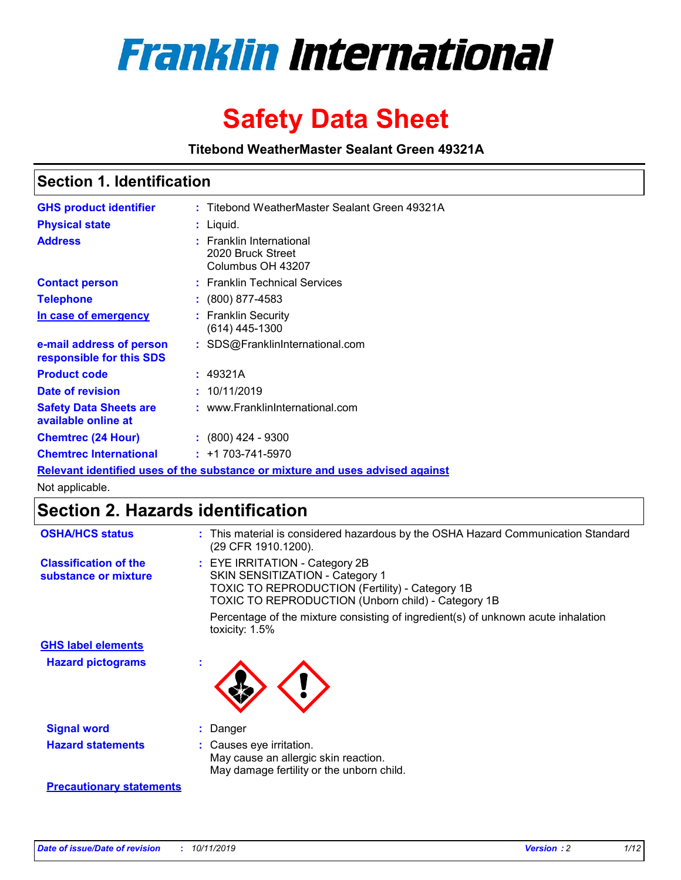

# **Safety Data Sheet**

**Titebond WeatherMaster Sealant Green 49321A**

### **Section 1. Identification**

| <b>GHS product identifier</b>                                                 |  | : Titebond WeatherMaster Sealant Green 49321A                           |  |  |  |
|-------------------------------------------------------------------------------|--|-------------------------------------------------------------------------|--|--|--|
| <b>Physical state</b>                                                         |  | : Liquid.                                                               |  |  |  |
| <b>Address</b>                                                                |  | <b>Franklin International</b><br>2020 Bruck Street<br>Columbus OH 43207 |  |  |  |
| <b>Contact person</b>                                                         |  | : Franklin Technical Services                                           |  |  |  |
| <b>Telephone</b>                                                              |  | $\colon$ (800) 877-4583                                                 |  |  |  |
| In case of emergency                                                          |  | : Franklin Security<br>(614) 445-1300                                   |  |  |  |
| e-mail address of person<br>responsible for this SDS                          |  | : SDS@FranklinInternational.com                                         |  |  |  |
| <b>Product code</b>                                                           |  | : 49321A                                                                |  |  |  |
| Date of revision                                                              |  | : 10/11/2019                                                            |  |  |  |
| <b>Safety Data Sheets are</b><br>available online at                          |  | : www.FranklinInternational.com                                         |  |  |  |
| <b>Chemtrec (24 Hour)</b>                                                     |  | $\div$ (800) 424 - 9300                                                 |  |  |  |
| <b>Chemtrec International</b>                                                 |  | $: +1703 - 741 - 5970$                                                  |  |  |  |
| Relevant identified uses of the substance or mixture and uses advised against |  |                                                                         |  |  |  |

Not applicable.

## **Section 2. Hazards identification**

| <b>OSHA/HCS status</b>                               | : This material is considered hazardous by the OSHA Hazard Communication Standard<br>(29 CFR 1910.1200).                                                                          |
|------------------------------------------------------|-----------------------------------------------------------------------------------------------------------------------------------------------------------------------------------|
| <b>Classification of the</b><br>substance or mixture | : EYE IRRITATION - Category 2B<br>SKIN SENSITIZATION - Category 1<br><b>TOXIC TO REPRODUCTION (Fertility) - Category 1B</b><br>TOXIC TO REPRODUCTION (Unborn child) - Category 1B |
|                                                      | Percentage of the mixture consisting of ingredient(s) of unknown acute inhalation<br>toxicity: $1.5\%$                                                                            |
| <b>GHS label elements</b>                            |                                                                                                                                                                                   |
| <b>Hazard pictograms</b>                             |                                                                                                                                                                                   |
| <b>Signal word</b>                                   | : Danger                                                                                                                                                                          |
| <b>Hazard statements</b>                             | : Causes eye irritation.<br>May cause an allergic skin reaction.<br>May damage fertility or the unborn child.                                                                     |
| <b>Precautionary statements</b>                      |                                                                                                                                                                                   |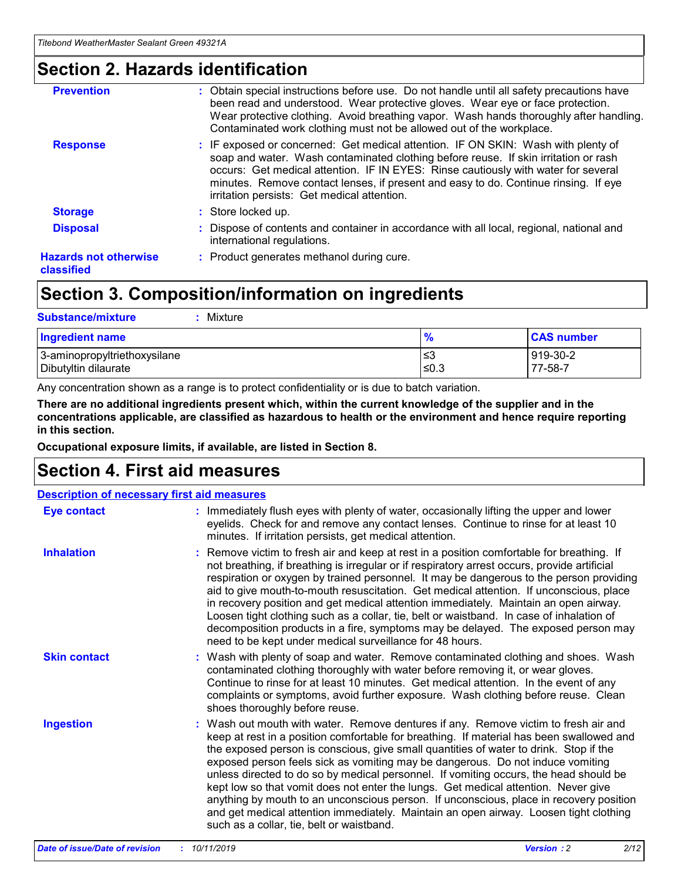### **Section 2. Hazards identification**

| <b>Prevention</b>                          | : Obtain special instructions before use. Do not handle until all safety precautions have<br>been read and understood. Wear protective gloves. Wear eye or face protection.<br>Wear protective clothing. Avoid breathing vapor. Wash hands thoroughly after handling.<br>Contaminated work clothing must not be allowed out of the workplace.                                                        |
|--------------------------------------------|------------------------------------------------------------------------------------------------------------------------------------------------------------------------------------------------------------------------------------------------------------------------------------------------------------------------------------------------------------------------------------------------------|
| <b>Response</b>                            | : IF exposed or concerned: Get medical attention. IF ON SKIN: Wash with plenty of<br>soap and water. Wash contaminated clothing before reuse. If skin irritation or rash<br>occurs: Get medical attention. IF IN EYES: Rinse cautiously with water for several<br>minutes. Remove contact lenses, if present and easy to do. Continue rinsing. If eye<br>irritation persists: Get medical attention. |
| <b>Storage</b>                             | : Store locked up.                                                                                                                                                                                                                                                                                                                                                                                   |
| <b>Disposal</b>                            | : Dispose of contents and container in accordance with all local, regional, national and<br>international regulations.                                                                                                                                                                                                                                                                               |
| <b>Hazards not otherwise</b><br>classified | : Product generates methanol during cure.                                                                                                                                                                                                                                                                                                                                                            |
|                                            |                                                                                                                                                                                                                                                                                                                                                                                                      |

### **Section 3. Composition/information on ingredients**

| <b>Substance/mixture</b><br>Mixture                  |               |                     |
|------------------------------------------------------|---------------|---------------------|
| <b>Ingredient name</b>                               | $\frac{9}{6}$ | <b>CAS number</b>   |
| 3-aminopropyltriethoxysilane<br>Dibutyltin dilaurate | ≤3<br>$≤0.3$  | 919-30-2<br>77-58-7 |

Any concentration shown as a range is to protect confidentiality or is due to batch variation.

**There are no additional ingredients present which, within the current knowledge of the supplier and in the concentrations applicable, are classified as hazardous to health or the environment and hence require reporting in this section.**

**Occupational exposure limits, if available, are listed in Section 8.**

### **Section 4. First aid measures**

| <b>Description of necessary first aid measures</b> |                                                                                                                                                                                                                                                                                                                                                                                                                                                                                                                                                                                                                                                                                                                                                                           |  |  |  |
|----------------------------------------------------|---------------------------------------------------------------------------------------------------------------------------------------------------------------------------------------------------------------------------------------------------------------------------------------------------------------------------------------------------------------------------------------------------------------------------------------------------------------------------------------------------------------------------------------------------------------------------------------------------------------------------------------------------------------------------------------------------------------------------------------------------------------------------|--|--|--|
| <b>Eye contact</b>                                 | : Immediately flush eyes with plenty of water, occasionally lifting the upper and lower<br>eyelids. Check for and remove any contact lenses. Continue to rinse for at least 10<br>minutes. If irritation persists, get medical attention.                                                                                                                                                                                                                                                                                                                                                                                                                                                                                                                                 |  |  |  |
| <b>Inhalation</b>                                  | : Remove victim to fresh air and keep at rest in a position comfortable for breathing. If<br>not breathing, if breathing is irregular or if respiratory arrest occurs, provide artificial<br>respiration or oxygen by trained personnel. It may be dangerous to the person providing<br>aid to give mouth-to-mouth resuscitation. Get medical attention. If unconscious, place<br>in recovery position and get medical attention immediately. Maintain an open airway.<br>Loosen tight clothing such as a collar, tie, belt or waistband. In case of inhalation of<br>decomposition products in a fire, symptoms may be delayed. The exposed person may<br>need to be kept under medical surveillance for 48 hours.                                                       |  |  |  |
| <b>Skin contact</b>                                | : Wash with plenty of soap and water. Remove contaminated clothing and shoes. Wash<br>contaminated clothing thoroughly with water before removing it, or wear gloves.<br>Continue to rinse for at least 10 minutes. Get medical attention. In the event of any<br>complaints or symptoms, avoid further exposure. Wash clothing before reuse. Clean<br>shoes thoroughly before reuse.                                                                                                                                                                                                                                                                                                                                                                                     |  |  |  |
| <b>Ingestion</b>                                   | : Wash out mouth with water. Remove dentures if any. Remove victim to fresh air and<br>keep at rest in a position comfortable for breathing. If material has been swallowed and<br>the exposed person is conscious, give small quantities of water to drink. Stop if the<br>exposed person feels sick as vomiting may be dangerous. Do not induce vomiting<br>unless directed to do so by medical personnel. If vomiting occurs, the head should be<br>kept low so that vomit does not enter the lungs. Get medical attention. Never give<br>anything by mouth to an unconscious person. If unconscious, place in recovery position<br>and get medical attention immediately. Maintain an open airway. Loosen tight clothing<br>such as a collar, tie, belt or waistband. |  |  |  |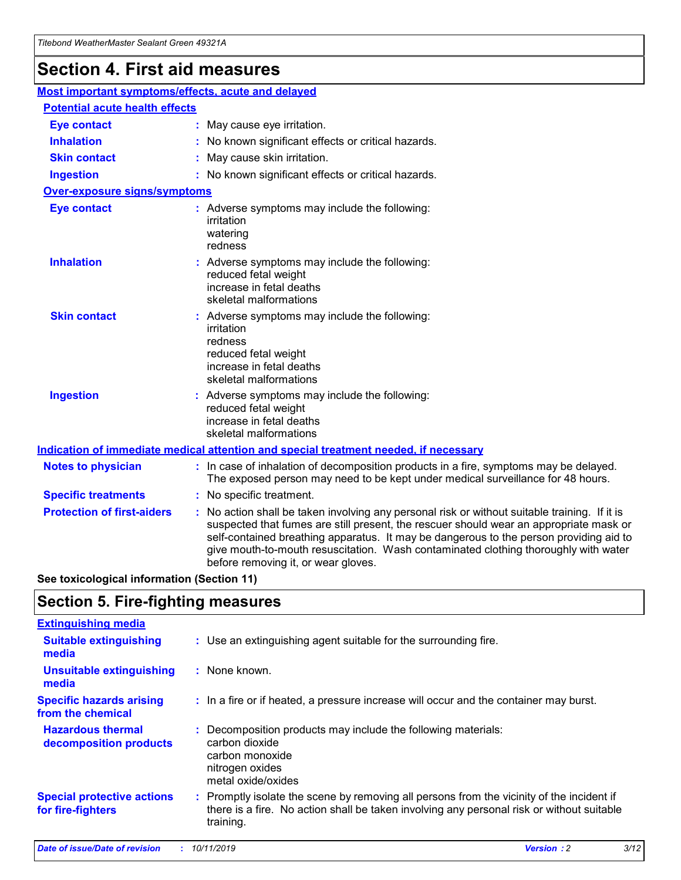## **Section 4. First aid measures**

| Most important symptoms/effects, acute and delayed |  |                                                                                                                                                                                                                                                                                                                                                                                                                 |  |
|----------------------------------------------------|--|-----------------------------------------------------------------------------------------------------------------------------------------------------------------------------------------------------------------------------------------------------------------------------------------------------------------------------------------------------------------------------------------------------------------|--|
| <b>Potential acute health effects</b>              |  |                                                                                                                                                                                                                                                                                                                                                                                                                 |  |
| <b>Eye contact</b>                                 |  | : May cause eye irritation.                                                                                                                                                                                                                                                                                                                                                                                     |  |
| <b>Inhalation</b>                                  |  | : No known significant effects or critical hazards.                                                                                                                                                                                                                                                                                                                                                             |  |
| <b>Skin contact</b>                                |  | : May cause skin irritation.                                                                                                                                                                                                                                                                                                                                                                                    |  |
| <b>Ingestion</b>                                   |  | : No known significant effects or critical hazards.                                                                                                                                                                                                                                                                                                                                                             |  |
| <b>Over-exposure signs/symptoms</b>                |  |                                                                                                                                                                                                                                                                                                                                                                                                                 |  |
| <b>Eye contact</b>                                 |  | : Adverse symptoms may include the following:<br>irritation<br>watering<br>redness                                                                                                                                                                                                                                                                                                                              |  |
| <b>Inhalation</b>                                  |  | : Adverse symptoms may include the following:<br>reduced fetal weight<br>increase in fetal deaths<br>skeletal malformations                                                                                                                                                                                                                                                                                     |  |
| <b>Skin contact</b>                                |  | : Adverse symptoms may include the following:<br>irritation<br>redness<br>reduced fetal weight<br>increase in fetal deaths<br>skeletal malformations                                                                                                                                                                                                                                                            |  |
| <b>Ingestion</b>                                   |  | : Adverse symptoms may include the following:<br>reduced fetal weight<br>increase in fetal deaths<br>skeletal malformations                                                                                                                                                                                                                                                                                     |  |
|                                                    |  | <b>Indication of immediate medical attention and special treatment needed, if necessary</b>                                                                                                                                                                                                                                                                                                                     |  |
| <b>Notes to physician</b>                          |  | : In case of inhalation of decomposition products in a fire, symptoms may be delayed.<br>The exposed person may need to be kept under medical surveillance for 48 hours.                                                                                                                                                                                                                                        |  |
| <b>Specific treatments</b>                         |  | : No specific treatment.                                                                                                                                                                                                                                                                                                                                                                                        |  |
| <b>Protection of first-aiders</b>                  |  | : No action shall be taken involving any personal risk or without suitable training. If it is<br>suspected that fumes are still present, the rescuer should wear an appropriate mask or<br>self-contained breathing apparatus. It may be dangerous to the person providing aid to<br>give mouth-to-mouth resuscitation. Wash contaminated clothing thoroughly with water<br>before removing it, or wear gloves. |  |

**See toxicological information (Section 11)**

### **Section 5. Fire-fighting measures**

| <b>Extinguishing media</b>                             |                                                                                                                                                                                                     |
|--------------------------------------------------------|-----------------------------------------------------------------------------------------------------------------------------------------------------------------------------------------------------|
| <b>Suitable extinguishing</b><br>media                 | : Use an extinguishing agent suitable for the surrounding fire.                                                                                                                                     |
| <b>Unsuitable extinguishing</b><br>media               | : None known.                                                                                                                                                                                       |
| <b>Specific hazards arising</b><br>from the chemical   | : In a fire or if heated, a pressure increase will occur and the container may burst.                                                                                                               |
| <b>Hazardous thermal</b><br>decomposition products     | : Decomposition products may include the following materials:<br>carbon dioxide<br>carbon monoxide<br>nitrogen oxides<br>metal oxide/oxides                                                         |
| <b>Special protective actions</b><br>for fire-fighters | : Promptly isolate the scene by removing all persons from the vicinity of the incident if<br>there is a fire. No action shall be taken involving any personal risk or without suitable<br>training. |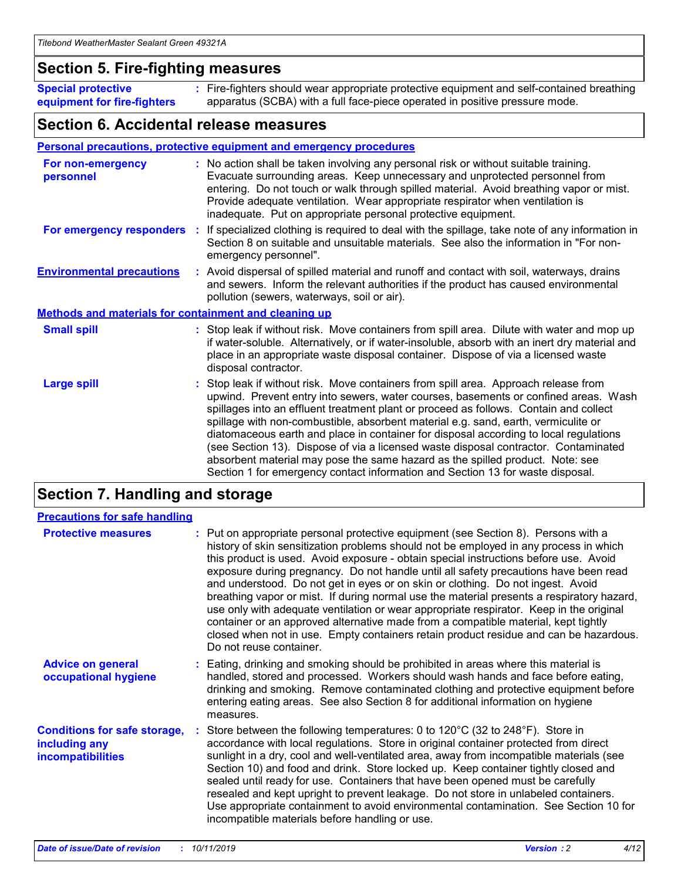### **Section 5. Fire-fighting measures**

**Special protective equipment for fire-fighters** Fire-fighters should wear appropriate protective equipment and self-contained breathing **:** apparatus (SCBA) with a full face-piece operated in positive pressure mode.

### **Section 6. Accidental release measures**

#### **Personal precautions, protective equipment and emergency procedures**

| For non-emergency<br>personnel                               | : No action shall be taken involving any personal risk or without suitable training.<br>Evacuate surrounding areas. Keep unnecessary and unprotected personnel from<br>entering. Do not touch or walk through spilled material. Avoid breathing vapor or mist.<br>Provide adequate ventilation. Wear appropriate respirator when ventilation is<br>inadequate. Put on appropriate personal protective equipment.                                                                                                                                                                                                                                                                                             |
|--------------------------------------------------------------|--------------------------------------------------------------------------------------------------------------------------------------------------------------------------------------------------------------------------------------------------------------------------------------------------------------------------------------------------------------------------------------------------------------------------------------------------------------------------------------------------------------------------------------------------------------------------------------------------------------------------------------------------------------------------------------------------------------|
|                                                              | For emergency responders : If specialized clothing is required to deal with the spillage, take note of any information in<br>Section 8 on suitable and unsuitable materials. See also the information in "For non-<br>emergency personnel".                                                                                                                                                                                                                                                                                                                                                                                                                                                                  |
| <b>Environmental precautions</b>                             | : Avoid dispersal of spilled material and runoff and contact with soil, waterways, drains<br>and sewers. Inform the relevant authorities if the product has caused environmental<br>pollution (sewers, waterways, soil or air).                                                                                                                                                                                                                                                                                                                                                                                                                                                                              |
| <b>Methods and materials for containment and cleaning up</b> |                                                                                                                                                                                                                                                                                                                                                                                                                                                                                                                                                                                                                                                                                                              |
| <b>Small spill</b>                                           | : Stop leak if without risk. Move containers from spill area. Dilute with water and mop up<br>if water-soluble. Alternatively, or if water-insoluble, absorb with an inert dry material and<br>place in an appropriate waste disposal container. Dispose of via a licensed waste<br>disposal contractor.                                                                                                                                                                                                                                                                                                                                                                                                     |
| <b>Large spill</b>                                           | : Stop leak if without risk. Move containers from spill area. Approach release from<br>upwind. Prevent entry into sewers, water courses, basements or confined areas. Wash<br>spillages into an effluent treatment plant or proceed as follows. Contain and collect<br>spillage with non-combustible, absorbent material e.g. sand, earth, vermiculite or<br>diatomaceous earth and place in container for disposal according to local regulations<br>(see Section 13). Dispose of via a licensed waste disposal contractor. Contaminated<br>absorbent material may pose the same hazard as the spilled product. Note: see<br>Section 1 for emergency contact information and Section 13 for waste disposal. |

### **Section 7. Handling and storage**

| <b>Precautions for safe handling</b>                                             |                                                                                                                                                                                                                                                                                                                                                                                                                                                                                                                                                                                                                                                                                                                                                                                                                                                  |
|----------------------------------------------------------------------------------|--------------------------------------------------------------------------------------------------------------------------------------------------------------------------------------------------------------------------------------------------------------------------------------------------------------------------------------------------------------------------------------------------------------------------------------------------------------------------------------------------------------------------------------------------------------------------------------------------------------------------------------------------------------------------------------------------------------------------------------------------------------------------------------------------------------------------------------------------|
| <b>Protective measures</b>                                                       | : Put on appropriate personal protective equipment (see Section 8). Persons with a<br>history of skin sensitization problems should not be employed in any process in which<br>this product is used. Avoid exposure - obtain special instructions before use. Avoid<br>exposure during pregnancy. Do not handle until all safety precautions have been read<br>and understood. Do not get in eyes or on skin or clothing. Do not ingest. Avoid<br>breathing vapor or mist. If during normal use the material presents a respiratory hazard,<br>use only with adequate ventilation or wear appropriate respirator. Keep in the original<br>container or an approved alternative made from a compatible material, kept tightly<br>closed when not in use. Empty containers retain product residue and can be hazardous.<br>Do not reuse container. |
| <b>Advice on general</b><br>occupational hygiene                                 | : Eating, drinking and smoking should be prohibited in areas where this material is<br>handled, stored and processed. Workers should wash hands and face before eating,<br>drinking and smoking. Remove contaminated clothing and protective equipment before<br>entering eating areas. See also Section 8 for additional information on hygiene<br>measures.                                                                                                                                                                                                                                                                                                                                                                                                                                                                                    |
| <b>Conditions for safe storage,</b><br>including any<br><b>incompatibilities</b> | : Store between the following temperatures: 0 to 120 $\degree$ C (32 to 248 $\degree$ F). Store in<br>accordance with local regulations. Store in original container protected from direct<br>sunlight in a dry, cool and well-ventilated area, away from incompatible materials (see<br>Section 10) and food and drink. Store locked up. Keep container tightly closed and<br>sealed until ready for use. Containers that have been opened must be carefully<br>resealed and kept upright to prevent leakage. Do not store in unlabeled containers.<br>Use appropriate containment to avoid environmental contamination. See Section 10 for<br>incompatible materials before handling or use.                                                                                                                                                   |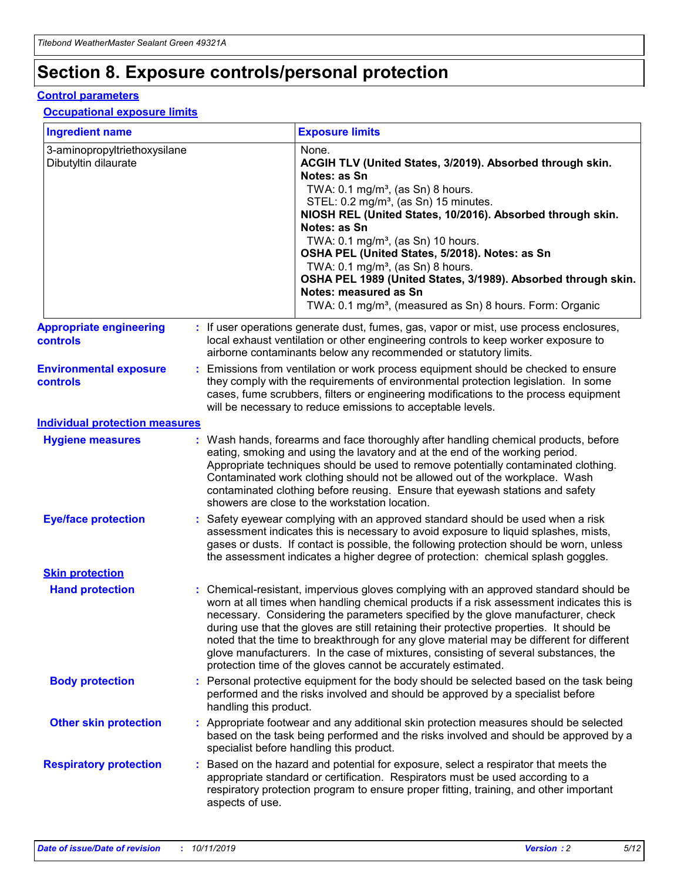## **Section 8. Exposure controls/personal protection**

#### **Control parameters**

#### **Occupational exposure limits**

| <b>Ingredient name</b>                               |    |                        | <b>Exposure limits</b>                                                                                                                                                                                                                                                                                                                                                                                                                                                                                                                                                                                                 |
|------------------------------------------------------|----|------------------------|------------------------------------------------------------------------------------------------------------------------------------------------------------------------------------------------------------------------------------------------------------------------------------------------------------------------------------------------------------------------------------------------------------------------------------------------------------------------------------------------------------------------------------------------------------------------------------------------------------------------|
| 3-aminopropyltriethoxysilane<br>Dibutyltin dilaurate |    |                        | None.<br>ACGIH TLV (United States, 3/2019). Absorbed through skin.<br>Notes: as Sn<br>TWA: $0.1 \text{ mg/m}^3$ , (as Sn) 8 hours.<br>STEL: 0.2 mg/m <sup>3</sup> , (as Sn) 15 minutes.<br>NIOSH REL (United States, 10/2016). Absorbed through skin.<br>Notes: as Sn<br>TWA: 0.1 mg/m <sup>3</sup> , (as Sn) 10 hours.<br>OSHA PEL (United States, 5/2018). Notes: as Sn<br>TWA: $0.1 \text{ mg/m}^3$ , (as Sn) 8 hours.<br>OSHA PEL 1989 (United States, 3/1989). Absorbed through skin.<br>Notes: measured as Sn<br>TWA: 0.1 mg/m <sup>3</sup> , (measured as Sn) 8 hours. Form: Organic                            |
| <b>Appropriate engineering</b><br>controls           |    |                        | : If user operations generate dust, fumes, gas, vapor or mist, use process enclosures,<br>local exhaust ventilation or other engineering controls to keep worker exposure to<br>airborne contaminants below any recommended or statutory limits.                                                                                                                                                                                                                                                                                                                                                                       |
| <b>Environmental exposure</b><br>controls            |    |                        | Emissions from ventilation or work process equipment should be checked to ensure<br>they comply with the requirements of environmental protection legislation. In some<br>cases, fume scrubbers, filters or engineering modifications to the process equipment<br>will be necessary to reduce emissions to acceptable levels.                                                                                                                                                                                                                                                                                          |
| <b>Individual protection measures</b>                |    |                        |                                                                                                                                                                                                                                                                                                                                                                                                                                                                                                                                                                                                                        |
| <b>Hygiene measures</b>                              |    |                        | : Wash hands, forearms and face thoroughly after handling chemical products, before<br>eating, smoking and using the lavatory and at the end of the working period.<br>Appropriate techniques should be used to remove potentially contaminated clothing.<br>Contaminated work clothing should not be allowed out of the workplace. Wash<br>contaminated clothing before reusing. Ensure that eyewash stations and safety<br>showers are close to the workstation location.                                                                                                                                            |
| <b>Eye/face protection</b>                           |    |                        | : Safety eyewear complying with an approved standard should be used when a risk<br>assessment indicates this is necessary to avoid exposure to liquid splashes, mists,<br>gases or dusts. If contact is possible, the following protection should be worn, unless<br>the assessment indicates a higher degree of protection: chemical splash goggles.                                                                                                                                                                                                                                                                  |
| <b>Skin protection</b>                               |    |                        |                                                                                                                                                                                                                                                                                                                                                                                                                                                                                                                                                                                                                        |
| <b>Hand protection</b>                               |    |                        | : Chemical-resistant, impervious gloves complying with an approved standard should be<br>worn at all times when handling chemical products if a risk assessment indicates this is<br>necessary. Considering the parameters specified by the glove manufacturer, check<br>during use that the gloves are still retaining their protective properties. It should be<br>noted that the time to breakthrough for any glove material may be different for different<br>glove manufacturers. In the case of mixtures, consisting of several substances, the<br>protection time of the gloves cannot be accurately estimated. |
| <b>Body protection</b>                               |    | handling this product. | Personal protective equipment for the body should be selected based on the task being<br>performed and the risks involved and should be approved by a specialist before                                                                                                                                                                                                                                                                                                                                                                                                                                                |
| <b>Other skin protection</b>                         |    |                        | : Appropriate footwear and any additional skin protection measures should be selected<br>based on the task being performed and the risks involved and should be approved by a<br>specialist before handling this product.                                                                                                                                                                                                                                                                                                                                                                                              |
| <b>Respiratory protection</b>                        | ÷. | aspects of use.        | Based on the hazard and potential for exposure, select a respirator that meets the<br>appropriate standard or certification. Respirators must be used according to a<br>respiratory protection program to ensure proper fitting, training, and other important                                                                                                                                                                                                                                                                                                                                                         |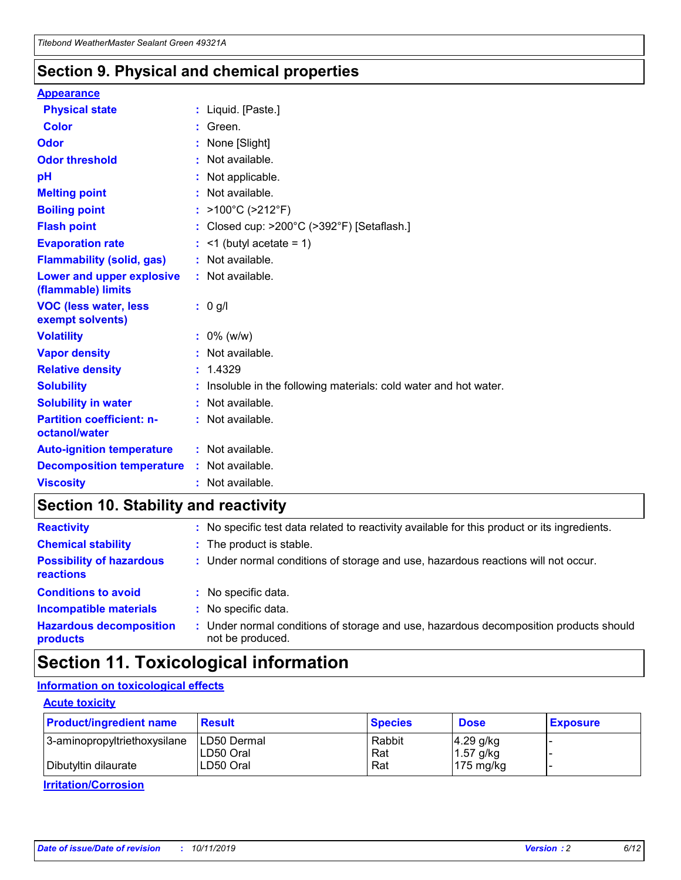### **Section 9. Physical and chemical properties**

#### **Appearance**

| <b>Physical state</b>                             | : Liquid. [Paste.]                                              |
|---------------------------------------------------|-----------------------------------------------------------------|
| Color                                             | Green.                                                          |
| Odor                                              | : None [Slight]                                                 |
| <b>Odor threshold</b>                             | $:$ Not available.                                              |
| рH                                                | : Not applicable.                                               |
| <b>Melting point</b>                              | : Not available.                                                |
| <b>Boiling point</b>                              | : >100°C (>212°F)                                               |
| <b>Flash point</b>                                | : Closed cup: $>200^{\circ}$ C ( $>392^{\circ}$ F) [Setaflash.] |
| <b>Evaporation rate</b>                           | $:$ <1 (butyl acetate = 1)                                      |
| <b>Flammability (solid, gas)</b>                  | : Not available.                                                |
| Lower and upper explosive<br>(flammable) limits   | : Not available.                                                |
| <b>VOC (less water, less</b>                      | $: 0$ g/l                                                       |
| exempt solvents)                                  |                                                                 |
| <b>Volatility</b>                                 | $: 0\%$ (w/w)                                                   |
| <b>Vapor density</b>                              | : Not available.                                                |
| <b>Relative density</b>                           | : 1.4329                                                        |
| <b>Solubility</b>                                 | Insoluble in the following materials: cold water and hot water. |
| <b>Solubility in water</b>                        | : Not available.                                                |
| <b>Partition coefficient: n-</b><br>octanol/water | $:$ Not available.                                              |
| <b>Auto-ignition temperature</b>                  | : Not available.                                                |
| <b>Decomposition temperature</b>                  | : Not available.                                                |

### **Section 10. Stability and reactivity**

| <b>Reactivity</b>                            | : No specific test data related to reactivity available for this product or its ingredients.            |
|----------------------------------------------|---------------------------------------------------------------------------------------------------------|
| <b>Chemical stability</b>                    | : The product is stable.                                                                                |
| <b>Possibility of hazardous</b><br>reactions | : Under normal conditions of storage and use, hazardous reactions will not occur.                       |
| <b>Conditions to avoid</b>                   | : No specific data.                                                                                     |
| <b>Incompatible materials</b>                | : No specific data.                                                                                     |
| <b>Hazardous decomposition</b><br>products   | Under normal conditions of storage and use, hazardous decomposition products should<br>not be produced. |

### **Section 11. Toxicological information**

### **Information on toxicological effects**

#### **Acute toxicity**

| <b>Product/ingredient name</b> | <b>Result</b>           | <b>Species</b> | <b>Dose</b>                | <b>Exposure</b> |
|--------------------------------|-------------------------|----------------|----------------------------|-----------------|
| 3-aminopropyltriethoxysilane   | <b>ILD50 Dermal</b>     | Rabbit         | 4.29 g/kg                  |                 |
| Dibutyltin dilaurate           | ILD50 Oral<br>LD50 Oral | Rat<br>Rat     | $1.57$ g/kg<br>175 $mg/kg$ |                 |
|                                |                         |                |                            |                 |

**Irritation/Corrosion**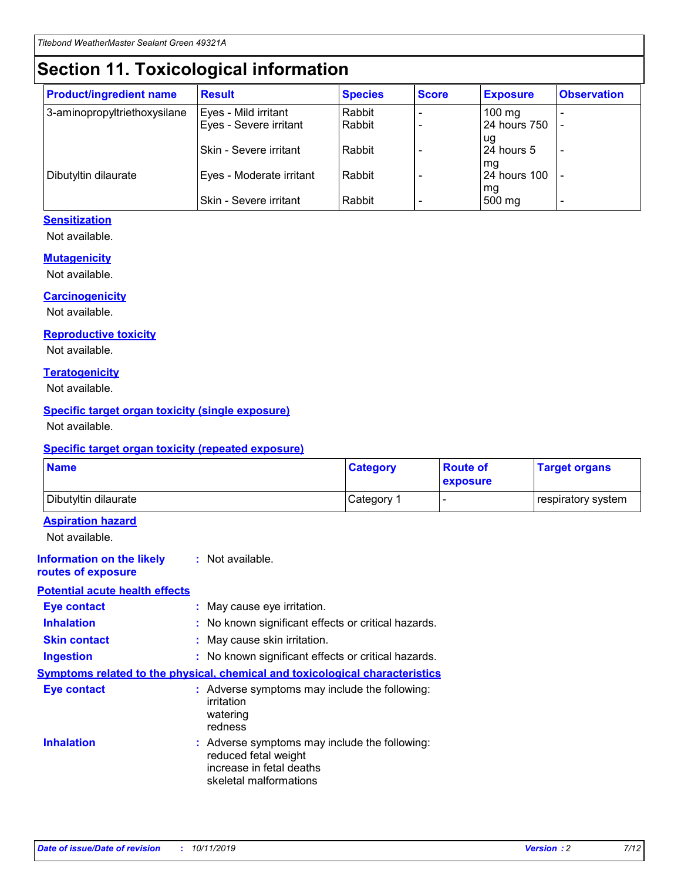## **Section 11. Toxicological information**

| <b>Product/ingredient name</b> | <b>Result</b>            | <b>Species</b> | <b>Score</b> | <b>Exposure</b>           | <b>Observation</b> |
|--------------------------------|--------------------------|----------------|--------------|---------------------------|--------------------|
| 3-aminopropyltriethoxysilane   | Eyes - Mild irritant     | Rabbit         |              | $100$ mg                  |                    |
|                                | Eyes - Severe irritant   | Rabbit         |              | 24 hours 750              |                    |
|                                |                          |                |              | ug                        |                    |
|                                | Skin - Severe irritant   | Rabbit         |              | 24 hours 5                | -                  |
| Dibutyltin dilaurate           | Eyes - Moderate irritant | Rabbit         |              | mg<br><b>24 hours 100</b> |                    |
|                                |                          |                |              | mg                        |                    |
|                                | Skin - Severe irritant   | Rabbit         |              | 500 mg                    | -                  |

#### **Sensitization**

Not available.

#### **Mutagenicity**

Not available.

#### **Carcinogenicity**

Not available.

#### **Reproductive toxicity**

Not available.

#### **Teratogenicity**

Not available.

#### **Specific target organ toxicity (single exposure)**

Not available.

#### **Specific target organ toxicity (repeated exposure)**

| <b>Name</b>                                                                         |                                                                            | <b>Category</b>                                     | <b>Route of</b><br>exposure | <b>Target organs</b> |
|-------------------------------------------------------------------------------------|----------------------------------------------------------------------------|-----------------------------------------------------|-----------------------------|----------------------|
| Dibutyltin dilaurate                                                                |                                                                            | Category 1                                          | $\overline{\phantom{0}}$    | respiratory system   |
| <b>Aspiration hazard</b><br>Not available.                                          |                                                                            |                                                     |                             |                      |
| <b>Information on the likely</b><br>routes of exposure                              | : Not available.                                                           |                                                     |                             |                      |
| <b>Potential acute health effects</b>                                               |                                                                            |                                                     |                             |                      |
| <b>Eye contact</b>                                                                  | : May cause eye irritation.                                                |                                                     |                             |                      |
| <b>Inhalation</b>                                                                   |                                                                            | : No known significant effects or critical hazards. |                             |                      |
| <b>Skin contact</b>                                                                 | : May cause skin irritation.                                               |                                                     |                             |                      |
| <b>Ingestion</b>                                                                    |                                                                            | : No known significant effects or critical hazards. |                             |                      |
| <b>Symptoms related to the physical, chemical and toxicological characteristics</b> |                                                                            |                                                     |                             |                      |
| <b>Eye contact</b>                                                                  | irritation<br>watering<br>redness                                          | : Adverse symptoms may include the following:       |                             |                      |
| <b>Inhalation</b>                                                                   | reduced fetal weight<br>increase in fetal deaths<br>skeletal malformations | : Adverse symptoms may include the following:       |                             |                      |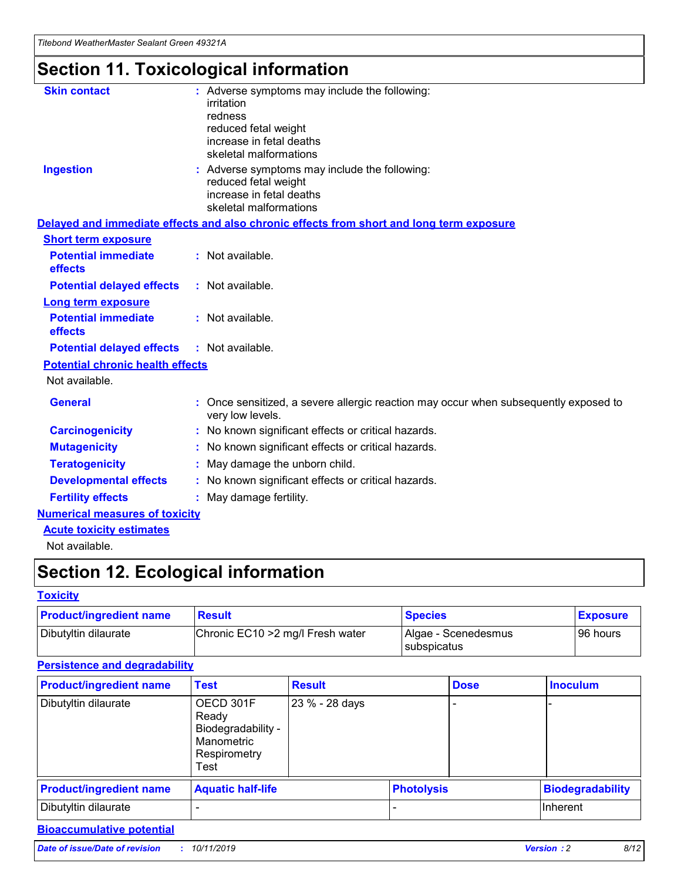## **Section 11. Toxicological information**

| <b>Skin contact</b>                     | : Adverse symptoms may include the following:<br>irritation<br>redness<br>reduced fetal weight<br>increase in fetal deaths<br>skeletal malformations |
|-----------------------------------------|------------------------------------------------------------------------------------------------------------------------------------------------------|
| <b>Ingestion</b>                        | : Adverse symptoms may include the following:<br>reduced fetal weight<br>increase in fetal deaths<br>skeletal malformations                          |
|                                         | Delayed and immediate effects and also chronic effects from short and long term exposure                                                             |
| <b>Short term exposure</b>              |                                                                                                                                                      |
| <b>Potential immediate</b><br>effects   | : Not available.                                                                                                                                     |
| <b>Potential delayed effects</b>        | : Not available.                                                                                                                                     |
| <b>Long term exposure</b>               |                                                                                                                                                      |
| <b>Potential immediate</b><br>effects   | : Not available.                                                                                                                                     |
| <b>Potential delayed effects</b>        | : Not available.                                                                                                                                     |
| <b>Potential chronic health effects</b> |                                                                                                                                                      |
| Not available.                          |                                                                                                                                                      |
| <b>General</b>                          | : Once sensitized, a severe allergic reaction may occur when subsequently exposed to<br>very low levels.                                             |
| <b>Carcinogenicity</b>                  | : No known significant effects or critical hazards.                                                                                                  |
| <b>Mutagenicity</b>                     | No known significant effects or critical hazards.                                                                                                    |
| <b>Teratogenicity</b>                   | May damage the unborn child.                                                                                                                         |
| <b>Developmental effects</b>            | No known significant effects or critical hazards.                                                                                                    |
| <b>Fertility effects</b>                | : May damage fertility.                                                                                                                              |
| <b>Numerical measures of toxicity</b>   |                                                                                                                                                      |
| <b>Acute toxicity estimates</b>         |                                                                                                                                                      |
|                                         |                                                                                                                                                      |

Not available.

## **Section 12. Ecological information**

#### **Toxicity**

| <b>Product/ingredient name</b> | <b>Result</b>                     | <b>Species</b>                       | <b>Exposure</b> |
|--------------------------------|-----------------------------------|--------------------------------------|-----------------|
| Dibutyltin dilaurate           | Chronic EC10 > 2 mg/l Fresh water | Algae - Scenedesmus<br>I subspicatus | l 96 hours      |

### **Persistence and degradability**

| <b>Product/ingredient name</b> | <b>Test</b>                                                                    | <b>Result</b>  |                   | <b>Dose</b> | <b>Inoculum</b>         |
|--------------------------------|--------------------------------------------------------------------------------|----------------|-------------------|-------------|-------------------------|
| Dibutyltin dilaurate           | OECD 301F<br>Ready<br>Biodegradability -<br>Manometric<br>Respirometry<br>Test | 23 % - 28 days |                   |             |                         |
| <b>Product/ingredient name</b> | <b>Aquatic half-life</b>                                                       |                | <b>Photolysis</b> |             | <b>Biodegradability</b> |
| Dibutyltin dilaurate           |                                                                                |                |                   |             | Inherent                |

### **Bioaccumulative potential**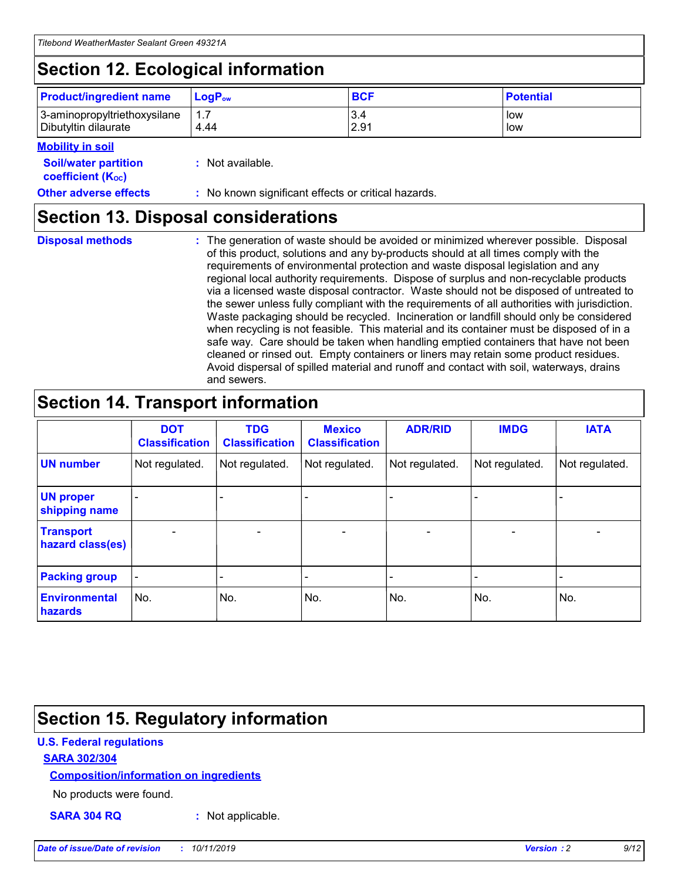## **Section 12. Ecological information**

| <b>Product/ingredient name</b> | $LoaPow$ | <b>BCF</b> | <b>Potential</b> |
|--------------------------------|----------|------------|------------------|
| 3-aminopropyltriethoxysilane   | 1.7      | 3.4        | low              |
| Dibutyltin dilaurate           | 4.44     | 2.91       | low              |

#### **Mobility in soil**

| <b>Soil/water partition</b><br>coefficient (K <sub>oc</sub> ) | : Not available.                                    |
|---------------------------------------------------------------|-----------------------------------------------------|
| <b>Other adverse effects</b>                                  | : No known significant effects or critical hazards. |

### **Section 13. Disposal considerations**

**Disposal methods :**

The generation of waste should be avoided or minimized wherever possible. Disposal of this product, solutions and any by-products should at all times comply with the requirements of environmental protection and waste disposal legislation and any regional local authority requirements. Dispose of surplus and non-recyclable products via a licensed waste disposal contractor. Waste should not be disposed of untreated to the sewer unless fully compliant with the requirements of all authorities with jurisdiction. Waste packaging should be recycled. Incineration or landfill should only be considered when recycling is not feasible. This material and its container must be disposed of in a safe way. Care should be taken when handling emptied containers that have not been cleaned or rinsed out. Empty containers or liners may retain some product residues. Avoid dispersal of spilled material and runoff and contact with soil, waterways, drains and sewers.

## **Section 14. Transport information**

|                                      | <b>DOT</b><br><b>Classification</b> | <b>TDG</b><br><b>Classification</b> | <b>Mexico</b><br><b>Classification</b> | <b>ADR/RID</b> | <b>IMDG</b>              | <b>IATA</b>              |
|--------------------------------------|-------------------------------------|-------------------------------------|----------------------------------------|----------------|--------------------------|--------------------------|
| <b>UN number</b>                     | Not regulated.                      | Not regulated.                      | Not regulated.                         | Not regulated. | Not regulated.           | Not regulated.           |
| <b>UN proper</b><br>shipping name    | $\blacksquare$                      |                                     |                                        |                |                          |                          |
| <b>Transport</b><br>hazard class(es) | $\blacksquare$                      | $\overline{\phantom{a}}$            | $\blacksquare$                         | $\blacksquare$ | $\overline{\phantom{a}}$ | $\blacksquare$           |
| <b>Packing group</b>                 | $\overline{\phantom{a}}$            | $\overline{\phantom{0}}$            | $\overline{\phantom{a}}$               | -              | $\overline{\phantom{0}}$ | $\overline{\phantom{a}}$ |
| <b>Environmental</b><br>hazards      | No.                                 | No.                                 | No.                                    | No.            | No.                      | No.                      |

## **Section 15. Regulatory information**

#### **U.S. Federal regulations**

#### **SARA 302/304**

#### **Composition/information on ingredients**

No products were found.

**SARA 304 RQ :** Not applicable.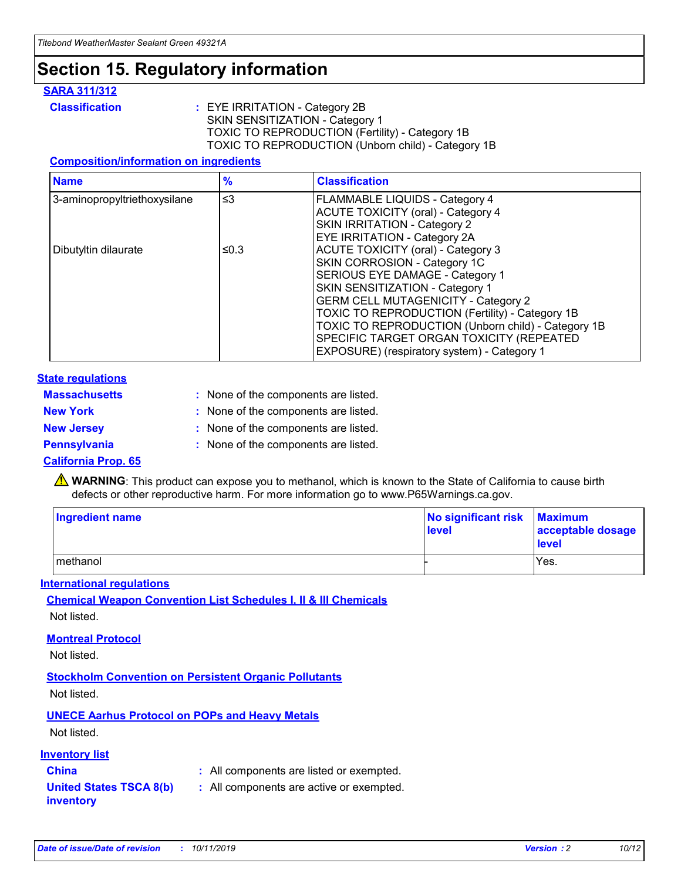### **Section 15. Regulatory information**

#### **SARA 311/312**

**Classification :** EYE IRRITATION - Category 2B SKIN SENSITIZATION - Category 1 TOXIC TO REPRODUCTION (Fertility) - Category 1B TOXIC TO REPRODUCTION (Unborn child) - Category 1B

#### **Composition/information on ingredients**

| <b>Name</b>                  | $\frac{9}{6}$ | <b>Classification</b>                                                                                            |
|------------------------------|---------------|------------------------------------------------------------------------------------------------------------------|
| 3-aminopropyltriethoxysilane | $\leq$ 3      | <b>FLAMMABLE LIQUIDS - Category 4</b><br><b>ACUTE TOXICITY (oral) - Category 4</b>                               |
|                              |               | SKIN IRRITATION - Category 2<br>EYE IRRITATION - Category 2A                                                     |
| Dibutyltin dilaurate         | ≤0.3          | ACUTE TOXICITY (oral) - Category 3<br>SKIN CORROSION - Category 1C                                               |
|                              |               | SERIOUS EYE DAMAGE - Category 1<br>SKIN SENSITIZATION - Category 1<br><b>GERM CELL MUTAGENICITY - Category 2</b> |
|                              |               | TOXIC TO REPRODUCTION (Fertility) - Category 1B<br>TOXIC TO REPRODUCTION (Unborn child) - Category 1B            |
|                              |               | SPECIFIC TARGET ORGAN TOXICITY (REPEATED<br>EXPOSURE) (respiratory system) - Category 1                          |

#### **State regulations**

| <b>Massachusetts</b> | : None of the components are listed. |
|----------------------|--------------------------------------|
| <b>New York</b>      | : None of the components are listed. |
| <b>New Jersey</b>    | : None of the components are listed. |
| Pennsylvania         | : None of the components are listed. |

#### **California Prop. 65**

**A** WARNING: This product can expose you to methanol, which is known to the State of California to cause birth defects or other reproductive harm. For more information go to www.P65Warnings.ca.gov.

| <b>Ingredient name</b> | No significant risk Maximum<br>level | acceptable dosage<br>level |
|------------------------|--------------------------------------|----------------------------|
| methanol               |                                      | Yes.                       |

#### **International regulations**

**Chemical Weapon Convention List Schedules I, II & III Chemicals** Not listed.

#### **Montreal Protocol**

Not listed.

**Stockholm Convention on Persistent Organic Pollutants**

Not listed.

### **UNECE Aarhus Protocol on POPs and Heavy Metals**

Not listed.

#### **Inventory list**

### **China :** All components are listed or exempted.

**United States TSCA 8(b) inventory :** All components are active or exempted.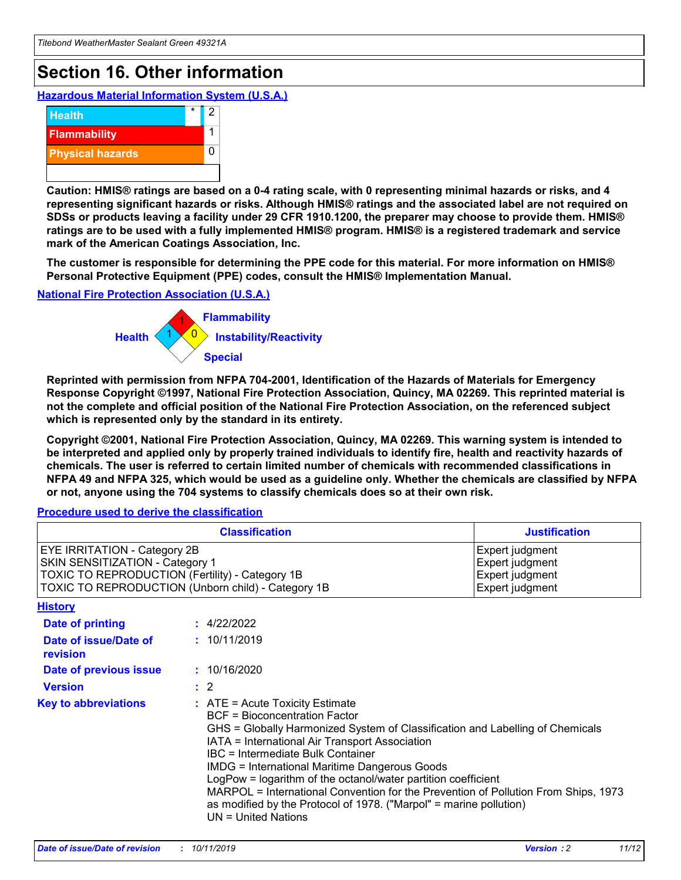## **Section 16. Other information**

**Hazardous Material Information System (U.S.A.)**



**Caution: HMIS® ratings are based on a 0-4 rating scale, with 0 representing minimal hazards or risks, and 4 representing significant hazards or risks. Although HMIS® ratings and the associated label are not required on SDSs or products leaving a facility under 29 CFR 1910.1200, the preparer may choose to provide them. HMIS® ratings are to be used with a fully implemented HMIS® program. HMIS® is a registered trademark and service mark of the American Coatings Association, Inc.**

**The customer is responsible for determining the PPE code for this material. For more information on HMIS® Personal Protective Equipment (PPE) codes, consult the HMIS® Implementation Manual.**

#### **National Fire Protection Association (U.S.A.)**



**Reprinted with permission from NFPA 704-2001, Identification of the Hazards of Materials for Emergency Response Copyright ©1997, National Fire Protection Association, Quincy, MA 02269. This reprinted material is not the complete and official position of the National Fire Protection Association, on the referenced subject which is represented only by the standard in its entirety.**

**Copyright ©2001, National Fire Protection Association, Quincy, MA 02269. This warning system is intended to be interpreted and applied only by properly trained individuals to identify fire, health and reactivity hazards of chemicals. The user is referred to certain limited number of chemicals with recommended classifications in NFPA 49 and NFPA 325, which would be used as a guideline only. Whether the chemicals are classified by NFPA or not, anyone using the 704 systems to classify chemicals does so at their own risk.**

#### **Procedure used to derive the classification**

| <b>Classification</b>                                                                                                                                                                  |                                                                                                                                                                                                                                                                   | <b>Justification</b>                                                                                                                                                                                                                                                                                       |  |
|----------------------------------------------------------------------------------------------------------------------------------------------------------------------------------------|-------------------------------------------------------------------------------------------------------------------------------------------------------------------------------------------------------------------------------------------------------------------|------------------------------------------------------------------------------------------------------------------------------------------------------------------------------------------------------------------------------------------------------------------------------------------------------------|--|
| <b>EYE IRRITATION - Category 2B</b><br>SKIN SENSITIZATION - Category 1<br><b>TOXIC TO REPRODUCTION (Fertility) - Category 1B</b><br>TOXIC TO REPRODUCTION (Unborn child) - Category 1B |                                                                                                                                                                                                                                                                   | Expert judgment<br>Expert judgment<br>Expert judgment<br>Expert judgment                                                                                                                                                                                                                                   |  |
| <b>History</b>                                                                                                                                                                         |                                                                                                                                                                                                                                                                   |                                                                                                                                                                                                                                                                                                            |  |
| Date of printing                                                                                                                                                                       | : 4/22/2022                                                                                                                                                                                                                                                       |                                                                                                                                                                                                                                                                                                            |  |
| Date of issue/Date of<br>revision                                                                                                                                                      | : 10/11/2019                                                                                                                                                                                                                                                      |                                                                                                                                                                                                                                                                                                            |  |
| Date of previous issue                                                                                                                                                                 | : 10/16/2020                                                                                                                                                                                                                                                      |                                                                                                                                                                                                                                                                                                            |  |
| <b>Version</b>                                                                                                                                                                         | $\therefore$ 2                                                                                                                                                                                                                                                    |                                                                                                                                                                                                                                                                                                            |  |
| <b>Key to abbreviations</b>                                                                                                                                                            | $\therefore$ ATE = Acute Toxicity Estimate<br><b>BCF</b> = Bioconcentration Factor<br>IATA = International Air Transport Association<br><b>IBC</b> = Intermediate Bulk Container<br><b>IMDG = International Maritime Dangerous Goods</b><br>$UN = United Nations$ | GHS = Globally Harmonized System of Classification and Labelling of Chemicals<br>LogPow = logarithm of the octanol/water partition coefficient<br>MARPOL = International Convention for the Prevention of Pollution From Ships, 1973<br>as modified by the Protocol of 1978. ("Marpol" = marine pollution) |  |